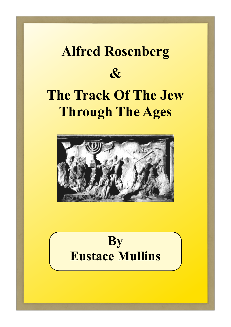## **Alfred Rosenberg & The Track Of The Jew Through The Ages**



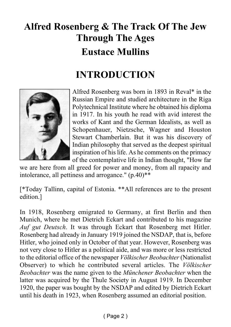## **Alfred Rosenberg & The Track Of The Jew Through The Ages Eustace Mullins**

## **INTRODUCTION**



Alfred Rosenberg was born in 1893 in Reval\* in the Russian Empire and studied architecture in the Riga Polytechnical Institute where he obtained his diploma in 1917. In his youth he read with avid interest the works of Kant and the German Idealists, as well as Schopenhauer, Nietzsche, Wagner and Houston Stewart Chamberlain. But it was his discovery of Indian philosophy that served as the deepest spiritual inspiration of his life. As he comments on the primacy of the contemplative life in Indian thought, "How far

we are here from all greed for power and money, from all rapacity and intolerance, all pettiness and arrogance." (p.40)\*\*

[\*Today Tallinn, capital of Estonia. \*\*All references are to the present edition.]

In 1918, Rosenberg emigrated to Germany, at first Berlin and then Munich, where he met Dietrich Eckart and contributed to his magazine *Auf gut Deutsch*. It was through Eckart that Rosenberg met Hitler. Rosenberg had already in January 1919 joined the NSDAP, that is, before Hitler, who joined only in October of that year. However, Rosenberg was not very close to Hitler as a political aide, and was more or less restricted to the editorial office of the newspaper *Völkischer Beobachter* (Nationalist Observer) to which he contributed several articles. The *Völkischer Beobachter* was the name given to the *Münchener Beobachter* when the latter was acquired by the Thule Society in August 1919. In December 1920, the paper was bought by the NSDAP and edited by Dietrich Eckart until his death in 1923, when Rosenberg assumed an editorial position.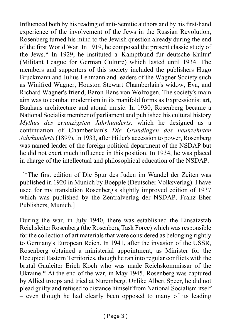Influenced both by his reading of anti-Semitic authors and by his first-hand experience of the involvement of the Jews in the Russian Revolution, Rosenberg turned his mind to the Jewish question already during the end of the first World War. In 1919, he composed the present classic study of the Jews.\* In 1929, he instituted a 'Kampfbund fur deutsche Kultur' (Militant League for German Culture) which lasted until 1934. The members and supporters of this society included the publishers Hugo Bruckmann and Julius Lehmann and leaders of the Wagner Society such as Winifred Wagner, Houston Stewart Chamberlain's widow, Eva, and Richard Wagner's friend, Baron Hans von Wolzogen. The society's main aim was to combat modernism in its manifold forms as Expressionist art, Bauhaus architecture and atonal music. In 1930, Rosenberg became a National Socialist member of parliament and published his cultural history *Mythus des zwanzigsten Jahrhunderts,* which he designed as a continuation of Chamberlain's *Die Grundlagen des neunzehnten Jahrhunderts* (1899). In 1933, after Hitler's accession to power, Rosenberg was named leader of the foreign political department of the NSDAP but he did not exert much influence in this position. In 1934, he was placed in charge of the intellectual and philosophical education of the NSDAP.

 [\*The first edition of Die Spur des Juden im Wandel der Zeiten was published in 1920 in Munich by Boepple (Deutscher Volksverlag). I have used for my translation Rosenberg's slightly improved edition of 1937 which was published by the Zentralverlag der NSDAP, Franz Eher Publishers, Munich.]

During the war, in July 1940, there was established the Einsatzstab Reichsleiter Rosenberg (the Rosenberg Task Force) which was responsible for the collection of art materials that were considered as belonging rightly to Germany's European Reich. In 1941, after the invasion of the USSR, Rosenberg obtained a ministerial appointment, as Minister for the Occupied Eastern Territories, though he ran into regular conflicts with the brutal Gauleiter Erich Koch who was made Reichskommissar of the Ukraine.\* At the end of the war, in May 1945, Rosenberg was captured by Allied troops and tried at Nuremberg. Unlike Albert Speer, he did not plead guilty and refused to distance himself from National Socialism itself – even though he had clearly been opposed to many of its leading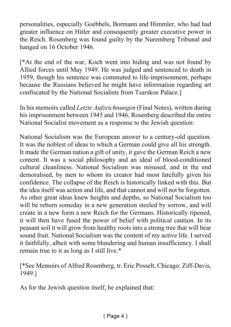personalities, especially Goebbels, Bormann and Himmler, who had had greater influence on Hitler and consequently greater executive power in the Reich. Rosenberg was found guilty by the Nuremberg Tribunal and hanged on 16 October 1946.

[\*At the end of the war, Koch went into hiding and was not found by Allied forces until May 1949. He was judged and sentenced to death in 1959, though his sentence was commuted to life-imprisonment, perhaps because the Russians believed he might have information regarding art confiscated by the National Socialists from Tsarskoe Palace.]

In his memoirs called *Letzte Aufzeichnungen* (Final Notes), written during his imprisonment between 1945 and 1946, Rosenberg described the entire National Socialist movement as a response to the Jewish question:

National Socialism was the European answer to a century-old question. It was the noblest of ideas to which a German could give all his strength. It made the German nation a gift of unity, it gave the German Reich a new content. It was a social philosophy and an ideal of blood-conditioned cultural cleanliness. National Socialism was misused, and in the end demoralised, by men to whom its creator had most fatefully given his confidence. The collapse of the Reich is historically linked with this. But the idea itself was action and life, and that cannot and will not be forgotten. As other great ideas knew heights and depths, so National Socialism too will be reborn someday in a new generation steeled by sorrow, and will create in a new form a new Reich for the Germans. Historically ripened, it will then have fused the power of belief with political caution. In its peasant soil it will grow from healthy roots into a strong tree that will bear sound fruit. National Socialism was the content of my active life. I served it faithfully, albeit with some blundering and human insufficiency. I shall remain true to it as long as I still live.\*

[\*See Memoirs of Alfred Rosenberg, tr. Eric Posselt, Chicago: Ziff-Davis, 1949.]

As for the Jewish question itself, he explained that: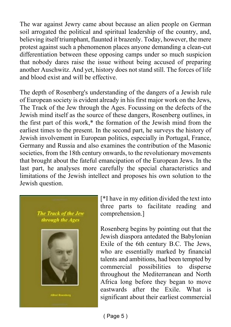The war against Jewry came about because an alien people on German soil arrogated the political and spiritual leadership of the country, and, believing itself triumphant, flaunted it brazenly. Today, however, the mere protest against such a phenomenon places anyone demanding a clean-cut differentiation between these opposing camps under so much suspicion that nobody dares raise the issue without being accused of preparing another Auschwitz. And yet, history does not stand still. The forces of life and blood exist and will be effective.

The depth of Rosenberg's understanding of the dangers of a Jewish rule of European society is evident already in his first major work on the Jews, The Track of the Jew through the Ages. Focussing on the defects of the Jewish mind itself as the source of these dangers, Rosenberg outlines, in the first part of this work,\* the formation of the Jewish mind from the earliest times to the present. In the second part, he surveys the history of Jewish involvement in European politics, especially in Portugal, France, Germany and Russia and also examines the contribution of the Masonic societies, from the 18th century onwards, to the revolutionary movements that brought about the fateful emancipation of the European Jews. In the last part, he analyses more carefully the special characteristics and limitations of the Jewish intellect and proposes his own solution to the Jewish question.



[\*I have in my edition divided the text into three parts to facilitate reading and comprehension.]

Rosenberg begins by pointing out that the Jewish diaspora antedated the Babylonian Exile of the 6th century B.C. The Jews, who are essentially marked by financial talents and ambitions, had been tempted by commercial possibilities to disperse throughout the Mediterranean and North Africa long before they began to move eastwards after the Exile. What is significant about their earliest commercial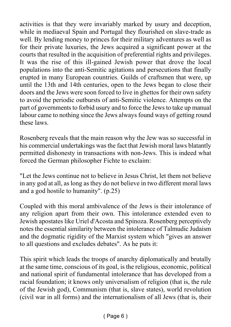activities is that they were invariably marked by usury and deception, while in mediaeval Spain and Portugal they flourished on slave-trade as well. By lending money to princes for their military adventures as well as for their private luxuries, the Jews acquired a significant power at the courts that resulted in the acquisition of preferential rights and privileges. It was the rise of this ill-gained Jewish power that drove the local populations into the anti-Semitic agitations and persecutions that finally erupted in many European countries. Guilds of craftsmen that were, up until the 13th and 14th centuries, open to the Jews began to close their doors and the Jews were soon forced to live in ghettos for their own safety to avoid the periodic outbursts of anti-Semitic violence. Attempts on the part of governments to forbid usury and to force the Jews to take up manual labour came to nothing since the Jews always found ways of getting round these laws.

Rosenberg reveals that the main reason why the Jew was so successful in his commercial undertakings was the fact that Jewish moral laws blatantly permitted dishonesty in transactions with non-Jews. This is indeed what forced the German philosopher Fichte to exclaim:

"Let the Jews continue not to believe in Jesus Christ, let them not believe in any god at all, as long as they do not believe in two different moral laws and a god hostile to humanity". (p.25)

Coupled with this moral ambivalence of the Jews is their intolerance of any religion apart from their own. This intolerance extended even to Jewish apostates like Uriel d'Acosta and Spinoza. Rosenberg perceptively notes the essential similarity between the intolerance of Talmudic Judaism and the dogmatic rigidity of the Marxist system which "gives an answer to all questions and excludes debates". As he puts it:

This spirit which leads the troops of anarchy diplomatically and brutally at the same time, conscious of its goal, is the religious, economic, political and national spirit of fundamental intolerance that has developed from a racial foundation; it knows only universalism of religion (that is, the rule of the Jewish god), Communism (that is, slave states), world revolution (civil war in all forms) and the internationalism of all Jews (that is, their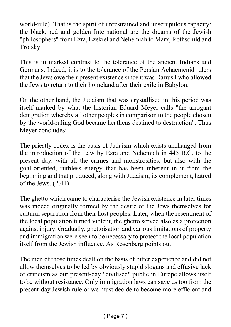world-rule). That is the spirit of unrestrained and unscrupulous rapacity: the black, red and golden International are the dreams of the Jewish "philosophers" from Ezra, Ezekiel and Nehemiah to Marx, Rothschild and Trotsky.

This is in marked contrast to the tolerance of the ancient Indians and Germans. Indeed, it is to the tolerance of the Persian Achaemenid rulers that the Jews owe their present existence since it was Darius I who allowed the Jews to return to their homeland after their exile in Babylon.

On the other hand, the Judaism that was crystallised in this period was itself marked by what the historian Eduard Meyer calls "the arrogant denigration whereby all other peoples in comparison to the people chosen by the world-ruling God became heathens destined to destruction". Thus Meyer concludes:

The priestly codex is the basis of Judaism which exists unchanged from the introduction of the Law by Ezra and Nehemiah in 445 B.C. to the present day, with all the crimes and monstrosities, but also with the goal-oriented, ruthless energy that has been inherent in it from the beginning and that produced, along with Judaism, its complement, hatred of the Jews. (P.41)

The ghetto which came to characterise the Jewish existence in later times was indeed originally formed by the desire of the Jews themselves for cultural separation from their host peoples. Later, when the resentment of the local population turned violent, the ghetto served also as a protection against injury. Gradually, ghettoisation and various limitations of property and immigration were seen to be necessary to protect the local population itself from the Jewish influence. As Rosenberg points out:

The men of those times dealt on the basis of bitter experience and did not allow themselves to be led by obviously stupid slogans and effusive lack of criticism as our present-day "civilised" public in Europe allows itself to be without resistance. Only immigration laws can save us too from the present-day Jewish rule or we must decide to become more efficient and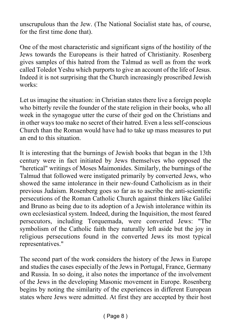unscrupulous than the Jew. (The National Socialist state has, of course, for the first time done that).

One of the most characteristic and significant signs of the hostility of the Jews towards the Europeans is their hatred of Christianity. Rosenberg gives samples of this hatred from the Talmud as well as from the work called Toledot Yeshu which purports to give an account of the life of Jesus. Indeed it is not surprising that the Church increasingly proscribed Jewish works:

Let us imagine the situation: in Christian states there live a foreign people who bitterly revile the founder of the state religion in their books, who all week in the synagogue utter the curse of their god on the Christians and in other ways too make no secret of their hatred. Even a less self-conscious Church than the Roman would have had to take up mass measures to put an end to this situation.

It is interesting that the burnings of Jewish books that began in the 13th century were in fact initiated by Jews themselves who opposed the "heretical" writings of Moses Maimonides. Similarly, the burnings of the Talmud that followed were instigated primarily by converted Jews, who showed the same intolerance in their new-found Catholicism as in their previous Judaism. Rosenberg goes so far as to ascribe the anti-scientific persecutions of the Roman Catholic Church against thinkers like Galilei and Bruno as being due to its adoption of a Jewish intolerance within its own ecclesiastical system. Indeed, during the Inquisition, the most feared persecutors, including Torquemada, were converted Jews: "The symbolism of the Catholic faith they naturally left aside but the joy in religious persecutions found in the converted Jews its most typical representatives."

The second part of the work considers the history of the Jews in Europe and studies the cases especially of the Jews in Portugal, France, Germany and Russia. In so doing, it also notes the importance of the involvement of the Jews in the developing Masonic movement in Europe. Rosenberg begins by noting the similarity of the experiences in different European states where Jews were admitted. At first they are accepted by their host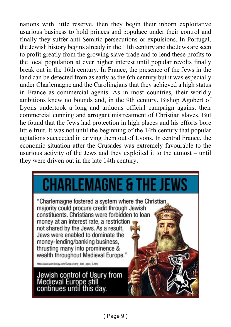nations with little reserve, then they begin their inborn exploitative usurious business to hold princes and populace under their control and finally they suffer anti-Semitic persecutions or expulsions. In Portugal, the Jewish history begins already in the 11th century and the Jews are seen to profit greatly from the growing slave-trade and to lend these profits to the local population at ever higher interest until popular revolts finally break out in the 16th century. In France, the presence of the Jews in the land can be detected from as early as the 6th century but it was especially under Charlemagne and the Carolingians that they achieved a high status in France as commercial agents. As in most countries, their worldly ambitions knew no bounds and, in the 9th century, Bishop Agobert of Lyons undertook a long and arduous official campaign against their commercial cunning and arrogant mistreatment of Christian slaves. But he found that the Jews had protection in high places and his efforts bore little fruit. It was not until the beginning of the 14th century that popular agitations succeeded in driving them out of Lyons. In central France, the economic situation after the Crusades was extremely favourable to the usurious activity of the Jews and they exploited it to the utmost – until they were driven out in the late 14th century.

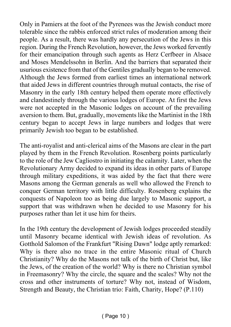Only in Pamiers at the foot of the Pyrenees was the Jewish conduct more tolerable since the rabbis enforced strict rules of moderation among their people. As a result, there was hardly any persecution of the Jews in this region. During the French Revolution, however, the Jews worked fervently for their emancipation through such agents as Herz Cerfbeer in Alsace and Moses Mendelssohn in Berlin. And the barriers that separated their usurious existence from that of the Gentiles gradually began to be removed. Although the Jews formed from earliest times an international network that aided Jews in different countries through mutual contacts, the rise of Masonry in the early 18th century helped them operate more effectively and clandestinely through the various lodges of Europe. At first the Jews were not accepted in the Masonic lodges on account of the prevailing aversion to them. But, gradually, movements like the Martinist in the 18th century began to accept Jews in large numbers and lodges that were primarily Jewish too began to be established.

The anti-royalist and anti-clerical aims of the Masons are clear in the part played by them in the French Revolution. Rosenberg points particularly to the role of the Jew Cagliostro in initiating the calamity. Later, when the Revolutionary Army decided to expand its ideas in other parts of Europe through military expeditions, it was aided by the fact that there were Masons among the German generals as well who allowed the French to conquer German territory with little difficulty. Rosenberg explains the conquests of Napoleon too as being due largely to Masonic support, a support that was withdrawn when he decided to use Masonry for his purposes rather than let it use him for theirs.

In the 19th century the development of Jewish lodges proceeded steadily until Masonry became identical with Jewish ideas of revolution. As Gotthold Salomon of the Frankfurt "Rising Dawn" lodge aptly remarked: Why is there also no trace in the entire Masonic ritual of Church Christianity? Why do the Masons not talk of the birth of Christ but, like the Jews, of the creation of the world? Why is there no Christian symbol in Freemasonry? Why the circle, the square and the scales? Why not the cross and other instruments of torture? Why not, instead of Wisdom, Strength and Beauty, the Christian trio: Faith, Charity, Hope? (P.110)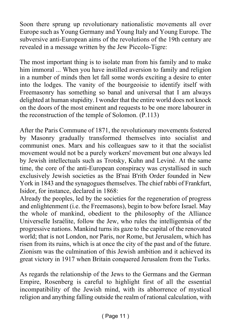Soon there sprung up revolutionary nationalistic movements all over Europe such as Young Germany and Young Italy and Young Europe. The subversive anti-European aims of the revolutions of the 19th century are revealed in a message written by the Jew Piccolo-Tigre:

The most important thing is to isolate man from his family and to make him immoral ... When you have instilled aversion to family and religion in a number of minds then let fall some words exciting a desire to enter into the lodges. The vanity of the bourgeoisie to identify itself with Freemasonry has something so banal and universal that I am always delighted at human stupidity. I wonder that the entire world does not knock on the doors of the most eminent and requests to be one more labourer in the reconstruction of the temple of Solomon. (P.113)

After the Paris Commune of 1871, the revolutionary movements fostered by Masonry gradually transformed themselves into socialist and communist ones. Marx and his colleagues saw to it that the socialist movement would not be a purely workers' movement but one always led by Jewish intellectuals such as Trotsky, Kuhn and Leviné. At the same time, the core of the anti-European conspiracy was crystallised in such exclusively Jewish societies as the B'nai B'rith Order founded in New York in 1843 and the synagogues themselves. The chief rabbi of Frankfurt, Isidor, for instance, declared in 1868:

Already the peoples, led by the societies for the regeneration of progress and enlightenment (i.e. the Freemasons), begin to bow before Israel. May the whole of mankind, obedient to the philosophy of the Alliance Universelle Israélite, follow the Jew, who rules the intelligentsia of the progressive nations. Mankind turns its gaze to the capital of the renovated world; that is not London, nor Paris, nor Rome, but Jerusalem, which has risen from its ruins, which is at once the city of the past and of the future. Zionism was the culmination of this Jewish ambition and it achieved its great victory in 1917 when Britain conquered Jerusalem from the Turks.

As regards the relationship of the Jews to the Germans and the German Empire, Rosenberg is careful to highlight first of all the essential incompatibility of the Jewish mind, with its abhorrence of mystical religion and anything falling outside the realm of rational calculation, with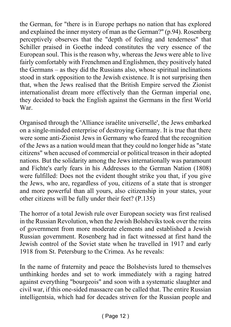the German, for "there is in Europe perhaps no nation that has explored and explained the inner mystery of man as the German?" (p.94). Rosenberg perceptively observes that the "depth of feeling and tenderness" that Schiller praised in Goethe indeed constitutes the very essence of the European soul. This is the reason why, whereas the Jews were able to live fairly comfortably with Frenchmen and Englishmen, they positively hated the Germans – as they did the Russians also, whose spiritual inclinations stood in stark opposition to the Jewish existence. It is not surprising then that, when the Jews realised that the British Empire served the Zionist internationalist dream more effectively than the German imperial one, they decided to back the English against the Germans in the first World War.

Organised through the 'Alliance israélite universelle', the Jews embarked on a single-minded enterprise of destroying Germany. It is true that there were some anti-Zionist Jews in Germany who feared that the recognition of the Jews as a nation would mean that they could no longer hide as "state citizens" when accused of commercial or political treason in their adopted nations. But the solidarity among the Jews internationally was paramount and Fichte's early fears in his Addresses to the German Nation (1808) were fulfilled: Does not the evident thought strike you that, if you give the Jews, who are, regardless of you, citizens of a state that is stronger and more powerful than all yours, also citizenship in your states, your other citizens will be fully under their feet? (P.135)

The horror of a total Jewish rule over European society was first realised in the Russian Revolution, when the Jewish Bolsheviks took over the reins of government from more moderate elements and established a Jewish Russian government. Rosenberg had in fact witnessed at first hand the Jewish control of the Soviet state when he travelled in 1917 and early 1918 from St. Petersburg to the Crimea. As he reveals:

In the name of fraternity and peace the Bolshevists lured to themselves unthinking hordes and set to work immediately with a raging hatred against everything "bourgeois" and soon with a systematic slaughter and civil war, if this one-sided massacre can be called that. The entire Russian intelligentsia, which had for decades striven for the Russian people and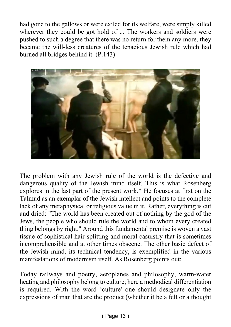had gone to the gallows or were exiled for its welfare, were simply killed wherever they could be got hold of ... The workers and soldiers were pushed to such a degree that there was no return for them any more, they became the will-less creatures of the tenacious Jewish rule which had burned all bridges behind it. (P.143)



The problem with any Jewish rule of the world is the defective and dangerous quality of the Jewish mind itself. This is what Rosenberg explores in the last part of the present work.\* He focuses at first on the Talmud as an exemplar of the Jewish intellect and points to the complete lack of any metaphysical or religious value in it. Rather, everything is cut and dried: "The world has been created out of nothing by the god of the Jews, the people who should rule the world and to whom every created thing belongs by right." Around this fundamental premise is woven a vast tissue of sophistical hair-splitting and moral casuistry that is sometimes incomprehensible and at other times obscene. The other basic defect of the Jewish mind, its technical tendency, is exemplified in the various manifestations of modernism itself. As Rosenberg points out:

Today railways and poetry, aeroplanes and philosophy, warm-water heating and philosophy belong to culture; here a methodical differentiation is required. With the word 'culture' one should designate only the expressions of man that are the product (whether it be a felt or a thought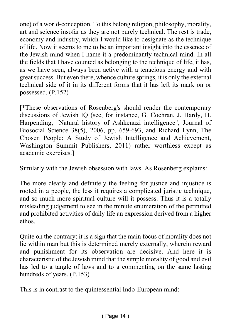one) of a world-conception. To this belong religion, philosophy, morality, art and science insofar as they are not purely technical. The rest is trade, economy and industry, which I would like to designate as the technique of life. Now it seems to me to be an important insight into the essence of the Jewish mind when I name it a predominantly technical mind. In all the fields that I have counted as belonging to the technique of life, it has, as we have seen, always been active with a tenacious energy and with great success. But even there, whence culture springs, it is only the external technical side of it in its different forms that it has left its mark on or possessed. (P.152)

[\*These observations of Rosenberg's should render the contemporary discussions of Jewish IQ (see, for instance, G. Cochran, J. Hardy, H. Harpending, "Natural history of Ashkenazi intelligence", Journal of Biosocial Science 38(5), 2006, pp. 659-693, and Richard Lynn, The Chosen People: A Study of Jewish Intelligence and Achievement, Washington Summit Publishers, 2011) rather worthless except as academic exercises.]

Similarly with the Jewish obsession with laws. As Rosenberg explains:

The more clearly and definitely the feeling for justice and injustice is rooted in a people, the less it requires a complicated juristic technique, and so much more spiritual culture will it possess. Thus it is a totally misleading judgement to see in the minute enumeration of the permitted and prohibited activities of daily life an expression derived from a higher ethos.

Quite on the contrary: it is a sign that the main focus of morality does not lie within man but this is determined merely externally, wherein reward and punishment for its observation are decisive. And here it is characteristic of the Jewish mind that the simple morality of good and evil has led to a tangle of laws and to a commenting on the same lasting hundreds of years. (P.153)

This is in contrast to the quintessential Indo-European mind: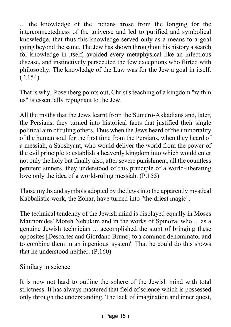... the knowledge of the Indians arose from the longing for the interconnectedness of the universe and led to purified and symbolical knowledge, that thus this knowledge served only as a means to a goal going beyond the same. The Jew has shown throughout his history a search for knowledge in itself, avoided every metaphysical like an infectious disease, and instinctively persecuted the few exceptions who flirted with philosophy. The knowledge of the Law was for the Jew a goal in itself. (P.154)

That is why, Rosenberg points out, Christ's teaching of a kingdom "within us" is essentially repugnant to the Jew.

All the myths that the Jews learnt from the Sumero-Akkadians and, later, the Persians, they turned into historical facts that justified their single political aim of ruling others. Thus when the Jews heard of the immortality of the human soul for the first time from the Persians, when they heard of a messiah, a Saoshyant, who would deliver the world from the power of the evil principle to establish a heavenly kingdom into which would enter not only the holy but finally also, after severe punishment, all the countless penitent sinners, they understood of this principle of a world-liberating love only the idea of a world-ruling messiah. (P.155)

Those myths and symbols adopted by the Jews into the apparently mystical Kabbalistic work, the Zohar, have turned into "the driest magic".

The technical tendency of the Jewish mind is displayed equally in Moses Maimonides' Moreh Nebukim and in the works of Spinoza, who ... as a genuine Jewish technician ... accomplished the stunt of bringing these opposites [Descartes and Giordano Bruno] to a common denominator and to combine them in an ingenious 'system'. That he could do this shows that he understood neither. (P.160)

Similary in science:

It is now not hard to outline the sphere of the Jewish mind with total strictness. It has always mastered that field of science which is possessed only through the understanding. The lack of imagination and inner quest,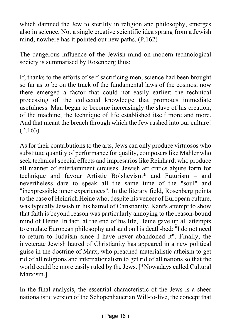which damned the Jew to sterility in religion and philosophy, emerges also in science. Not a single creative scientific idea sprang from a Jewish mind, nowhere has it pointed out new paths. (P.162)

The dangerous influence of the Jewish mind on modern technological society is summarised by Rosenberg thus:

If, thanks to the efforts of self-sacrificing men, science had been brought so far as to be on the track of the fundamental laws of the cosmos, now there emerged a factor that could not easily earlier: the technical processing of the collected knowledge that promotes immediate usefulness. Man began to become increasingly the slave of his creation, of the machine, the technique of life established itself more and more. And that meant the breach through which the Jew rushed into our culture! (P.163)

As for their contributions to the arts, Jews can only produce virtuosos who substitute quantity of performance for quality, composers like Mahler who seek technical special effects and impresarios like Reinhardt who produce all manner of entertainment circuses. Jewish art critics abjure form for technique and favour Artistic Bolshevism\* and Futurism – and nevertheless dare to speak all the same time of the "soul" and "inexpressible inner experiences". In the literary field, Rosenberg points to the case of Heinrich Heine who, despite his veneer of European culture, was typically Jewish in his hatred of Christianity. Kant's attempt to show that faith is beyond reason was particularly annoying to the reason-bound mind of Heine. In fact, at the end of his life, Heine gave up all attempts to emulate European philosophy and said on his death-bed: "I do not need to return to Judaism since I have never abandoned it". Finally, the inveterate Jewish hatred of Christianity has appeared in a new political guise in the doctrine of Marx, who preached materialistic atheism to get rid of all religions and internationalism to get rid of all nations so that the world could be more easily ruled by the Jews. [\*Nowadays called Cultural Marxism.]

In the final analysis, the essential characteristic of the Jews is a sheer nationalistic version of the Schopenhauerian Will-to-live, the concept that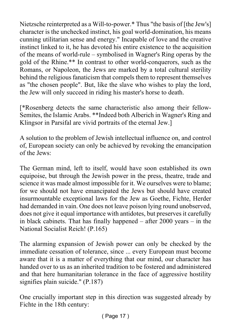Nietzsche reinterpreted as a Will-to-power.\* Thus "the basis of [the Jew's] character is the unchecked instinct, his goal world-domination, his means cunning utilitarian sense and energy." Incapable of love and the creative instinct linked to it, he has devoted his entire existence to the acquisition of the means of world-rule – symbolised in Wagner's Ring operas by the gold of the Rhine.\*\* In contrast to other world-conquerors, such as the Romans, or Napoleon, the Jews are marked by a total cultural sterility behind the religious fanaticism that compels them to represent themselves as "the chosen people". But, like the slave who wishes to play the lord, the Jew will only succeed in riding his master's horse to death.

[\*Rosenberg detects the same characteristic also among their fellow-Semites, the Islamic Arabs. \*\*Indeed both Alberich in Wagner's Ring and Klingsor in Parsifal are vivid portraits of the eternal Jew.]

A solution to the problem of Jewish intellectual influence on, and control of, European society can only be achieved by revoking the emancipation of the Jews:

The German mind, left to itself, would have soon established its own equipoise, but through the Jewish power in the press, theatre, trade and science it was made almost impossible for it. We ourselves were to blame; for we should not have emancipated the Jews but should have created insurmountable exceptional laws for the Jew as Goethe, Fichte, Herder had demanded in vain. One does not leave poison lying round unobserved, does not give it equal importance with antidotes, but preserves it carefully in black cabinets. That has finally happened – after 2000 years – in the National Socialist Reich! (P.165)

The alarming expansion of Jewish power can only be checked by the immediate cessation of tolerance, since ... every European must become aware that it is a matter of everything that our mind, our character has handed over to us as an inherited tradition to be fostered and administered and that here humanitarian tolerance in the face of aggressive hostility signifies plain suicide." (P.187)

One crucially important step in this direction was suggested already by Fichte in the 18th century: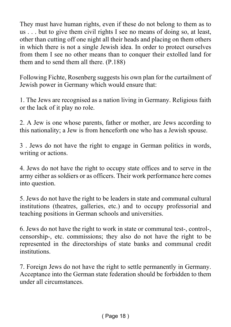They must have human rights, even if these do not belong to them as to us . . . but to give them civil rights I see no means of doing so, at least, other than cutting off one night all their heads and placing on them others in which there is not a single Jewish idea. In order to protect ourselves from them I see no other means than to conquer their extolled land for them and to send them all there. (P.188)

Following Fichte, Rosenberg suggests his own plan for the curtailment of Jewish power in Germany which would ensure that:

1. The Jews are recognised as a nation living in Germany. Religious faith or the lack of it play no role.

2. A Jew is one whose parents, father or mother, are Jews according to this nationality; a Jew is from henceforth one who has a Jewish spouse.

3 . Jews do not have the right to engage in German politics in words, writing or actions.

4. Jews do not have the right to occupy state offices and to serve in the army either as soldiers or as officers. Their work performance here comes into question.

5. Jews do not have the right to be leaders in state and communal cultural institutions (theatres, galleries, etc.) and to occupy professorial and teaching positions in German schools and universities.

6. Jews do not have the right to work in state or communal test-, control-, censorship-, etc. commissions; they also do not have the right to be represented in the directorships of state banks and communal credit institutions.

7. Foreign Jews do not have the right to settle permanently in Germany. Acceptance into the German state federation should be forbidden to them under all circumstances.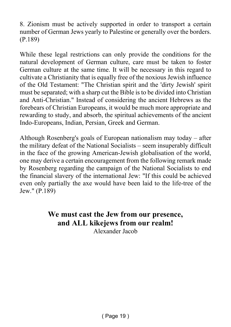8. Zionism must be actively supported in order to transport a certain number of German Jews yearly to Palestine or generally over the borders. (P.189)

While these legal restrictions can only provide the conditions for the natural development of German culture, care must be taken to foster German culture at the same time. It will be necessary in this regard to cultivate a Christianity that is equally free of the noxious Jewish influence of the Old Testament: "The Christian spirit and the 'dirty Jewish' spirit must be separated; with a sharp cut the Bible is to be divided into Christian and Anti-Christian." Instead of considering the ancient Hebrews as the forebears of Christian Europeans, it would be much more appropriate and rewarding to study, and absorb, the spiritual achievements of the ancient Indo-Europeans, Indian, Persian, Greek and German.

Although Rosenberg's goals of European nationalism may today – after the military defeat of the National Socialists – seem insuperably difficult in the face of the growing American-Jewish globalisation of the world, one may derive a certain encouragement from the following remark made by Rosenberg regarding the campaign of the National Socialists to end the financial slavery of the international Jew: "If this could be achieved even only partially the axe would have been laid to the life-tree of the Jew." (P.189)

#### **We must cast the Jew from our presence, and ALL kikejews from our realm!** Alexander Jacob